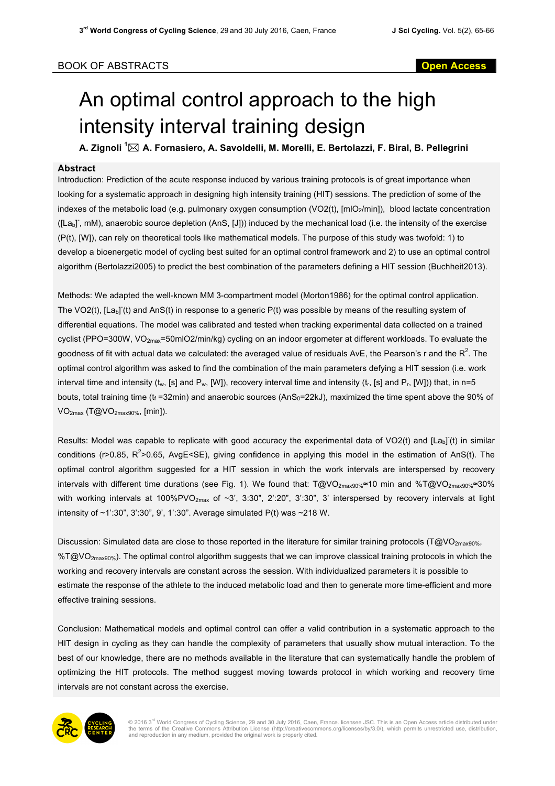## An optimal control approach to the high intensity interval training design

**A. Zignoli <sup>1</sup>** \* **A. Fornasiero, A. Savoldelli, M. Morelli, E. Bertolazzi, F. Biral, B. Pellegrini**

## **Abstract**

Introduction: Prediction of the acute response induced by various training protocols is of great importance when looking for a systematic approach in designing high intensity training (HIT) sessions. The prediction of some of the indexes of the metabolic load (e.g. pulmonary oxygen consumption (VO2(t), [mlO<sub>2</sub>/min]), blood lactate concentration ([La<sub>b</sub>], mM), anaerobic source depletion (AnS, [J])) induced by the mechanical load (i.e. the intensity of the exercise (P(t), [W]), can rely on theoretical tools like mathematical models. The purpose of this study was twofold: 1) to develop a bioenergetic model of cycling best suited for an optimal control framework and 2) to use an optimal control algorithm (Bertolazzi2005) to predict the best combination of the parameters defining a HIT session (Buchheit2013).

Methods: We adapted the well-known MM 3-compartment model (Morton1986) for the optimal control application. The VO2(t),  $[La_b](t)$  and AnS(t) in response to a generic P(t) was possible by means of the resulting system of differential equations. The model was calibrated and tested when tracking experimental data collected on a trained cyclist (PPO=300W, VO<sub>2max</sub>=50mlO2/min/kg) cycling on an indoor ergometer at different workloads. To evaluate the goodness of fit with actual data we calculated: the averaged value of residuals AvE, the Pearson's r and the R $^2$ . The optimal control algorithm was asked to find the combination of the main parameters defying a HIT session (i.e. work interval time and intensity ( $t_w$ , [s] and  $P_w$ , [W]), recovery interval time and intensity ( $t_r$ , [s] and  $P_r$ , [W])) that, in n=5 bouts, total training time ( $t_f$  =32min) and anaerobic sources (AnS<sub>0</sub>=22kJ), maximized the time spent above the 90% of VO2max (T@VO2max90%, [min]).

Results: Model was capable to replicate with good accuracy the experimental data of VO2(t) and [Lab] (t) in similar conditions (r>0.85, R<sup>2</sup>>0.65, AvgE<SE), giving confidence in applying this model in the estimation of AnS(t). The optimal control algorithm suggested for a HIT session in which the work intervals are interspersed by recovery intervals with different time durations (see Fig. 1). We found that: T@VO2max90%≈10 min and %T@VO2max90%≈30% with working intervals at 100%PVO<sub>2max</sub> of ~3', 3:30", 2':20", 3':30", 3' interspersed by recovery intervals at light intensity of ~1':30", 3':30", 9', 1':30". Average simulated P(t) was ~218 W.

Discussion: Simulated data are close to those reported in the literature for similar training protocols (T@VO<sub>2max90%</sub>, %T@VO<sub>2max90%</sub>). The optimal control algorithm suggests that we can improve classical training protocols in which the working and recovery intervals are constant across the session. With individualized parameters it is possible to estimate the response of the athlete to the induced metabolic load and then to generate more time-efficient and more effective training sessions.

Conclusion: Mathematical models and optimal control can offer a valid contribution in a systematic approach to the HIT design in cycling as they can handle the complexity of parameters that usually show mutual interaction. To the best of our knowledge, there are no methods available in the literature that can systematically handle the problem of optimizing the HIT protocols. The method suggest moving towards protocol in which working and recovery time intervals are not constant across the exercise.